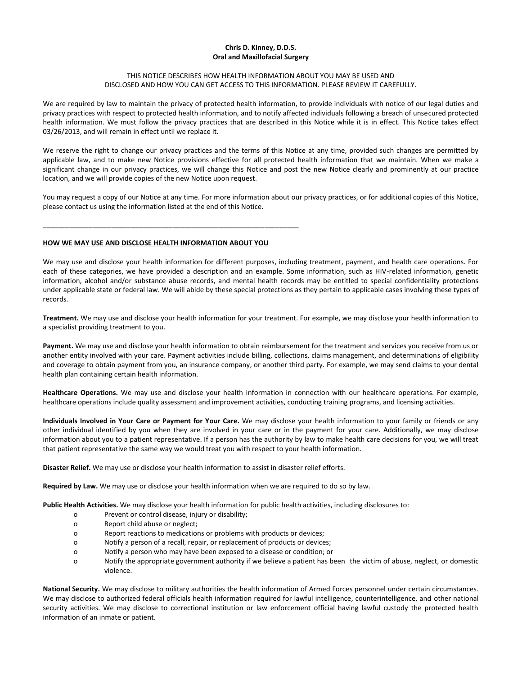## **Chris D. Kinney, D.D.S. Oral and Maxillofacial Surgery**

## THIS NOTICE DESCRIBES HOW HEALTH INFORMATION ABOUT YOU MAY BE USED AND DISCLOSED AND HOW YOU CAN GET ACCESS TO THIS INFORMATION. PLEASE REVIEW IT CAREFULLY.

We are required by law to maintain the privacy of protected health information, to provide individuals with notice of our legal duties and privacy practices with respect to protected health information, and to notify affected individuals following a breach of unsecured protected health information. We must follow the privacy practices that are described in this Notice while it is in effect. This Notice takes effect 03/26/2013, and will remain in effect until we replace it.

We reserve the right to change our privacy practices and the terms of this Notice at any time, provided such changes are permitted by applicable law, and to make new Notice provisions effective for all protected health information that we maintain. When we make a significant change in our privacy practices, we will change this Notice and post the new Notice clearly and prominently at our practice location, and we will provide copies of the new Notice upon request.

You may request a copy of our Notice at any time. For more information about our privacy practices, or for additional copies of this Notice, please contact us using the information listed at the end of this Notice.

# **HOW WE MAY USE AND DISCLOSE HEALTH INFORMATION ABOUT YOU**

**\_\_\_\_\_\_\_\_\_\_\_\_\_\_\_\_\_\_\_\_\_\_\_\_\_\_\_\_\_\_\_\_\_\_\_\_\_\_\_\_\_\_\_\_\_\_\_\_\_\_\_\_\_\_\_\_\_\_\_\_\_\_\_\_\_\_\_**

We may use and disclose your health information for different purposes, including treatment, payment, and health care operations. For each of these categories, we have provided a description and an example. Some information, such as HIV-related information, genetic information, alcohol and/or substance abuse records, and mental health records may be entitled to special confidentiality protections under applicable state or federal law. We will abide by these special protections as they pertain to applicable cases involving these types of records.

**Treatment.** We may use and disclose your health information for your treatment. For example, we may disclose your health information to a specialist providing treatment to you.

**Payment.** We may use and disclose your health information to obtain reimbursement for the treatment and services you receive from us or another entity involved with your care. Payment activities include billing, collections, claims management, and determinations of eligibility and coverage to obtain payment from you, an insurance company, or another third party. For example, we may send claims to your dental health plan containing certain health information.

**Healthcare Operations.** We may use and disclose your health information in connection with our healthcare operations. For example, healthcare operations include quality assessment and improvement activities, conducting training programs, and licensing activities.

**Individuals Involved in Your Care or Payment for Your Care.** We may disclose your health information to your family or friends or any other individual identified by you when they are involved in your care or in the payment for your care. Additionally, we may disclose information about you to a patient representative. If a person has the authority by law to make health care decisions for you, we will treat that patient representative the same way we would treat you with respect to your health information.

**Disaster Relief.** We may use or disclose your health information to assist in disaster relief efforts.

**Required by Law.** We may use or disclose your health information when we are required to do so by law.

**Public Health Activities.** We may disclose your health information for public health activities, including disclosures to:

- o Prevent or control disease, injury or disability;
- o Report child abuse or neglect;
- o Report reactions to medications or problems with products or devices;
- o Notify a person of a recall, repair, or replacement of products or devices;
- o Notify a person who may have been exposed to a disease or condition; or
- o Notify the appropriate government authority if we believe a patient has been the victim of abuse, neglect, or domestic violence.

**National Security.** We may disclose to military authorities the health information of Armed Forces personnel under certain circumstances. We may disclose to authorized federal officials health information required for lawful intelligence, counterintelligence, and other national security activities. We may disclose to correctional institution or law enforcement official having lawful custody the protected health information of an inmate or patient.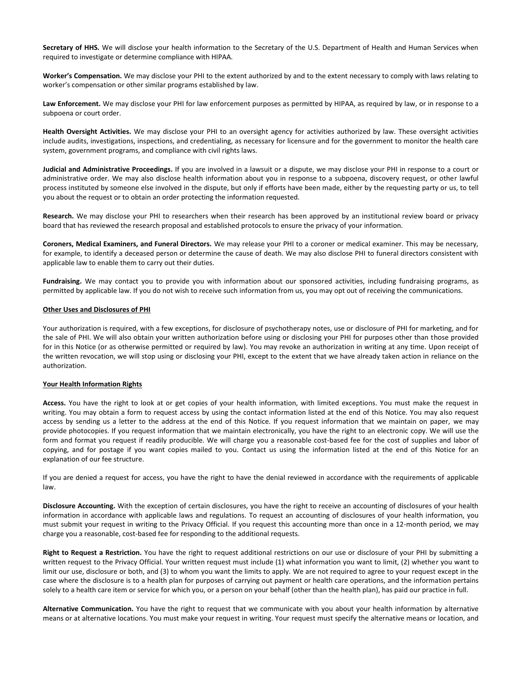**Secretary of HHS.** We will disclose your health information to the Secretary of the U.S. Department of Health and Human Services when required to investigate or determine compliance with HIPAA.

**Worker's Compensation.** We may disclose your PHI to the extent authorized by and to the extent necessary to comply with laws relating to worker's compensation or other similar programs established by law.

Law Enforcement. We may disclose your PHI for law enforcement purposes as permitted by HIPAA, as required by law, or in response to a subpoena or court order.

**Health Oversight Activities.** We may disclose your PHI to an oversight agency for activities authorized by law. These oversight activities include audits, investigations, inspections, and credentialing, as necessary for licensure and for the government to monitor the health care system, government programs, and compliance with civil rights laws.

**Judicial and Administrative Proceedings.** If you are involved in a lawsuit or a dispute, we may disclose your PHI in response to a court or administrative order. We may also disclose health information about you in response to a subpoena, discovery request, or other lawful process instituted by someone else involved in the dispute, but only if efforts have been made, either by the requesting party or us, to tell you about the request or to obtain an order protecting the information requested.

**Research.** We may disclose your PHI to researchers when their research has been approved by an institutional review board or privacy board that has reviewed the research proposal and established protocols to ensure the privacy of your information.

**Coroners, Medical Examiners, and Funeral Directors.** We may release your PHI to a coroner or medical examiner. This may be necessary, for example, to identify a deceased person or determine the cause of death. We may also disclose PHI to funeral directors consistent with applicable law to enable them to carry out their duties.

**Fundraising.** We may contact you to provide you with information about our sponsored activities, including fundraising programs, as permitted by applicable law. If you do not wish to receive such information from us, you may opt out of receiving the communications.

## **Other Uses and Disclosures of PHI**

Your authorization is required, with a few exceptions, for disclosure of psychotherapy notes, use or disclosure of PHI for marketing, and for the sale of PHI. We will also obtain your written authorization before using or disclosing your PHI for purposes other than those provided for in this Notice (or as otherwise permitted or required by law). You may revoke an authorization in writing at any time. Upon receipt of the written revocation, we will stop using or disclosing your PHI, except to the extent that we have already taken action in reliance on the authorization.

## **Your Health Information Rights**

**Access.** You have the right to look at or get copies of your health information, with limited exceptions. You must make the request in writing. You may obtain a form to request access by using the contact information listed at the end of this Notice. You may also request access by sending us a letter to the address at the end of this Notice. If you request information that we maintain on paper, we may provide photocopies. If you request information that we maintain electronically, you have the right to an electronic copy. We will use the form and format you request if readily producible. We will charge you a reasonable cost-based fee for the cost of supplies and labor of copying, and for postage if you want copies mailed to you. Contact us using the information listed at the end of this Notice for an explanation of our fee structure.

If you are denied a request for access, you have the right to have the denial reviewed in accordance with the requirements of applicable law.

**Disclosure Accounting.** With the exception of certain disclosures, you have the right to receive an accounting of disclosures of your health information in accordance with applicable laws and regulations. To request an accounting of disclosures of your health information, you must submit your request in writing to the Privacy Official. If you request this accounting more than once in a 12-month period, we may charge you a reasonable, cost-based fee for responding to the additional requests.

**Right to Request a Restriction.** You have the right to request additional restrictions on our use or disclosure of your PHI by submitting a written request to the Privacy Official. Your written request must include (1) what information you want to limit, (2) whether you want to limit our use, disclosure or both, and (3) to whom you want the limits to apply. We are not required to agree to your request except in the case where the disclosure is to a health plan for purposes of carrying out payment or health care operations, and the information pertains solely to a health care item or service for which you, or a person on your behalf (other than the health plan), has paid our practice in full.

**Alternative Communication.** You have the right to request that we communicate with you about your health information by alternative means or at alternative locations. You must make your request in writing. Your request must specify the alternative means or location, and